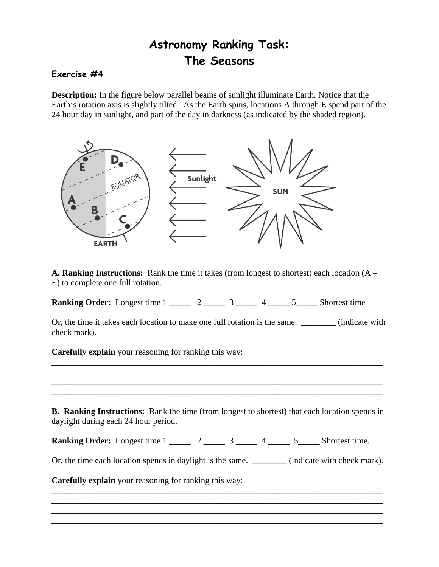## **Astronomy Ranking Task: The Seasons**

## **Exercise #4**

**Description:** In the figure below parallel beams of sunlight illuminate Earth. Notice that the Earth's rotation axis is slightly tilted. As the Earth spins, locations A through E spend part of the 24 hour day in sunlight, and part of the day in darkness (as indicated by the shaded region).



**A. Ranking Instructions:** Rank the time it takes (from longest to shortest) each location (A – E) to complete one full rotation.

**Ranking Order:** Longest time 1 \_\_\_\_\_ 2 \_\_\_\_\_ 3 \_\_\_\_\_ 4 \_\_\_\_ 5 \_\_\_\_ Shortest time

Or, the time it takes each location to make one full rotation is the same. \_\_\_\_\_\_\_\_\_\_ (indicate with check mark).

**Carefully explain** your reasoning for ranking this way:

\_\_\_\_\_\_\_\_\_\_\_\_\_\_\_\_\_\_\_\_\_\_\_\_\_\_\_\_\_\_\_\_\_\_\_\_\_\_\_\_\_\_\_\_\_\_\_\_\_\_\_\_\_\_\_\_\_\_\_\_\_\_\_\_\_\_\_\_\_\_\_\_\_\_\_\_\_ \_\_\_\_\_\_\_\_\_\_\_\_\_\_\_\_\_\_\_\_\_\_\_\_\_\_\_\_\_\_\_\_\_\_\_\_\_\_\_\_\_\_\_\_\_\_\_\_\_\_\_\_\_\_\_\_\_\_\_\_\_\_\_\_\_\_\_\_\_\_\_\_\_\_\_\_\_ \_\_\_\_\_\_\_\_\_\_\_\_\_\_\_\_\_\_\_\_\_\_\_\_\_\_\_\_\_\_\_\_\_\_\_\_\_\_\_\_\_\_\_\_\_\_\_\_\_\_\_\_\_\_\_\_\_\_\_\_\_\_\_\_\_\_\_\_\_\_\_\_\_\_\_\_\_ \_\_\_\_\_\_\_\_\_\_\_\_\_\_\_\_\_\_\_\_\_\_\_\_\_\_\_\_\_\_\_\_\_\_\_\_\_\_\_\_\_\_\_\_\_\_\_\_\_\_\_\_\_\_\_\_\_\_\_\_\_\_\_\_\_\_\_\_\_\_\_\_\_\_\_\_\_ **B. Ranking Instructions:** Rank the time (from longest to shortest) that each location spends in daylight during each 24 hour period. **Ranking Order:** Longest time 1 \_\_\_\_\_ 2 \_\_\_\_\_ 3 \_\_\_\_ 4 \_\_\_\_ 5 \_\_\_\_ Shortest time. Or, the time each location spends in daylight is the same. \_\_\_\_\_\_\_\_\_ (indicate with check mark). **Carefully explain** your reasoning for ranking this way: \_\_\_\_\_\_\_\_\_\_\_\_\_\_\_\_\_\_\_\_\_\_\_\_\_\_\_\_\_\_\_\_\_\_\_\_\_\_\_\_\_\_\_\_\_\_\_\_\_\_\_\_\_\_\_\_\_\_\_\_\_\_\_\_\_\_\_\_\_\_\_\_\_\_\_\_\_ \_\_\_\_\_\_\_\_\_\_\_\_\_\_\_\_\_\_\_\_\_\_\_\_\_\_\_\_\_\_\_\_\_\_\_\_\_\_\_\_\_\_\_\_\_\_\_\_\_\_\_\_\_\_\_\_\_\_\_\_\_\_\_\_\_\_\_\_\_\_\_\_\_\_\_\_\_

\_\_\_\_\_\_\_\_\_\_\_\_\_\_\_\_\_\_\_\_\_\_\_\_\_\_\_\_\_\_\_\_\_\_\_\_\_\_\_\_\_\_\_\_\_\_\_\_\_\_\_\_\_\_\_\_\_\_\_\_\_\_\_\_\_\_\_\_\_\_\_\_\_\_\_\_\_ \_\_\_\_\_\_\_\_\_\_\_\_\_\_\_\_\_\_\_\_\_\_\_\_\_\_\_\_\_\_\_\_\_\_\_\_\_\_\_\_\_\_\_\_\_\_\_\_\_\_\_\_\_\_\_\_\_\_\_\_\_\_\_\_\_\_\_\_\_\_\_\_\_\_\_\_\_